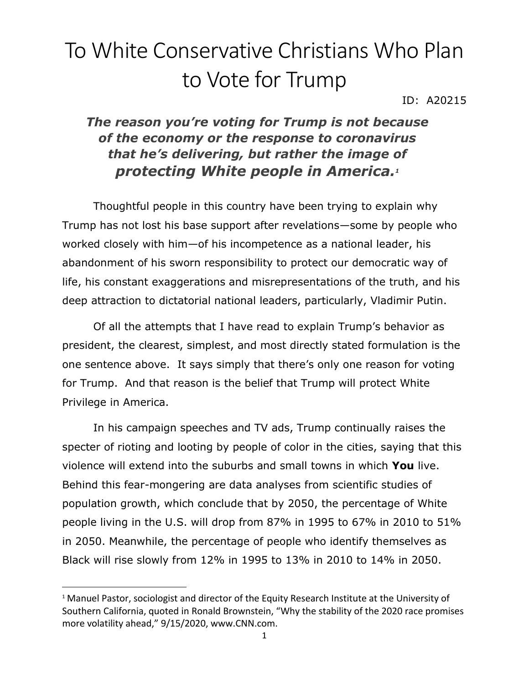## To White Conservative Christians Who Plan to Vote for Trump

ID: A20215

## *The reason you're voting for Trump is not because of the economy or the response to coronavirus that he's delivering, but rather the image of protecting White people in America.<sup>1</sup>*

Thoughtful people in this country have been trying to explain why Trump has not lost his base support after revelations—some by people who worked closely with him—of his incompetence as a national leader, his abandonment of his sworn responsibility to protect our democratic way of life, his constant exaggerations and misrepresentations of the truth, and his deep attraction to dictatorial national leaders, particularly, Vladimir Putin.

Of all the attempts that I have read to explain Trump's behavior as president, the clearest, simplest, and most directly stated formulation is the one sentence above. It says simply that there's only one reason for voting for Trump. And that reason is the belief that Trump will protect White Privilege in America.

In his campaign speeches and TV ads, Trump continually raises the specter of rioting and looting by people of color in the cities, saying that this violence will extend into the suburbs and small towns in which **You** live. Behind this fear-mongering are data analyses from scientific studies of population growth, which conclude that by 2050, the percentage of White people living in the U.S. will drop from 87% in 1995 to 67% in 2010 to 51% in 2050. Meanwhile, the percentage of people who identify themselves as Black will rise slowly from 12% in 1995 to 13% in 2010 to 14% in 2050.

<sup>&</sup>lt;sup>1</sup> Manuel Pastor, sociologist and director of the Equity Research Institute at the University of Southern California, quoted in Ronald Brownstein, "Why the stability of the 2020 race promises more volatility ahead," 9/15/2020, www.CNN.com.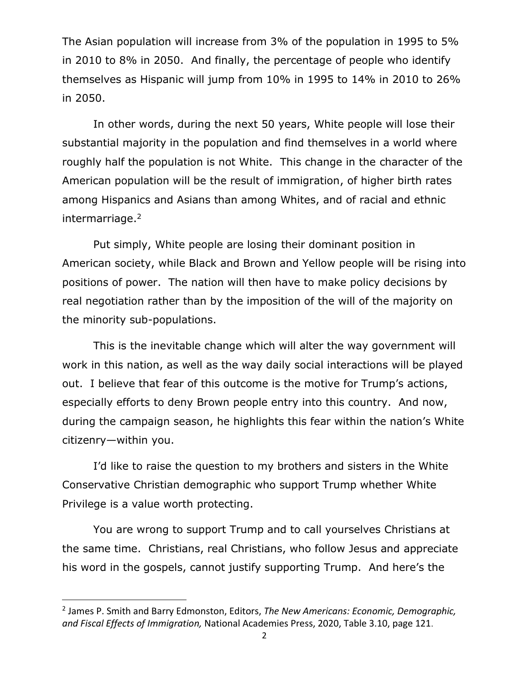The Asian population will increase from 3% of the population in 1995 to 5% in 2010 to 8% in 2050. And finally, the percentage of people who identify themselves as Hispanic will jump from 10% in 1995 to 14% in 2010 to 26% in 2050.

In other words, during the next 50 years, White people will lose their substantial majority in the population and find themselves in a world where roughly half the population is not White. This change in the character of the American population will be the result of immigration, of higher birth rates among Hispanics and Asians than among Whites, and of racial and ethnic intermarriage.<sup>2</sup>

Put simply, White people are losing their dominant position in American society, while Black and Brown and Yellow people will be rising into positions of power. The nation will then have to make policy decisions by real negotiation rather than by the imposition of the will of the majority on the minority sub-populations.

This is the inevitable change which will alter the way government will work in this nation, as well as the way daily social interactions will be played out. I believe that fear of this outcome is the motive for Trump's actions, especially efforts to deny Brown people entry into this country. And now, during the campaign season, he highlights this fear within the nation's White citizenry—within you.

I'd like to raise the question to my brothers and sisters in the White Conservative Christian demographic who support Trump whether White Privilege is a value worth protecting.

You are wrong to support Trump and to call yourselves Christians at the same time. Christians, real Christians, who follow Jesus and appreciate his word in the gospels, cannot justify supporting Trump. And here's the

<sup>2</sup> James P. Smith and Barry Edmonston, Editors, *The New Americans: Economic, Demographic, and Fiscal Effects of Immigration,* National Academies Press, 2020, Table 3.10, page 121.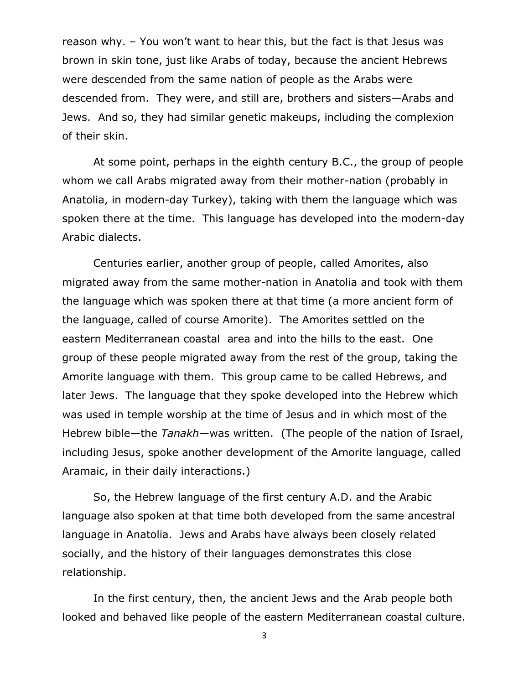reason why. – You won't want to hear this, but the fact is that Jesus was brown in skin tone, just like Arabs of today, because the ancient Hebrews were descended from the same nation of people as the Arabs were descended from. They were, and still are, brothers and sisters—Arabs and Jews. And so, they had similar genetic makeups, including the complexion of their skin.

At some point, perhaps in the eighth century B.C., the group of people whom we call Arabs migrated away from their mother-nation (probably in Anatolia, in modern-day Turkey), taking with them the language which was spoken there at the time. This language has developed into the modern-day Arabic dialects.

Centuries earlier, another group of people, called Amorites, also migrated away from the same mother-nation in Anatolia and took with them the language which was spoken there at that time (a more ancient form of the language, called of course Amorite). The Amorites settled on the eastern Mediterranean coastal area and into the hills to the east. One group of these people migrated away from the rest of the group, taking the Amorite language with them. This group came to be called Hebrews, and later Jews. The language that they spoke developed into the Hebrew which was used in temple worship at the time of Jesus and in which most of the Hebrew bible—the *Tanakh*—was written. (The people of the nation of Israel, including Jesus, spoke another development of the Amorite language, called Aramaic, in their daily interactions.)

So, the Hebrew language of the first century A.D. and the Arabic language also spoken at that time both developed from the same ancestral language in Anatolia. Jews and Arabs have always been closely related socially, and the history of their languages demonstrates this close relationship.

In the first century, then, the ancient Jews and the Arab people both looked and behaved like people of the eastern Mediterranean coastal culture.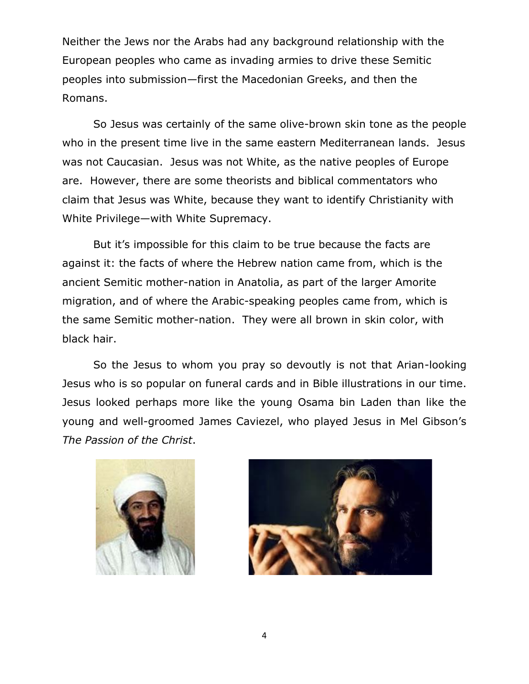Neither the Jews nor the Arabs had any background relationship with the European peoples who came as invading armies to drive these Semitic peoples into submission—first the Macedonian Greeks, and then the Romans.

So Jesus was certainly of the same olive-brown skin tone as the people who in the present time live in the same eastern Mediterranean lands. Jesus was not Caucasian. Jesus was not White, as the native peoples of Europe are. However, there are some theorists and biblical commentators who claim that Jesus was White, because they want to identify Christianity with White Privilege—with White Supremacy.

But it's impossible for this claim to be true because the facts are against it: the facts of where the Hebrew nation came from, which is the ancient Semitic mother-nation in Anatolia, as part of the larger Amorite migration, and of where the Arabic-speaking peoples came from, which is the same Semitic mother-nation. They were all brown in skin color, with black hair.

So the Jesus to whom you pray so devoutly is not that Arian-looking Jesus who is so popular on funeral cards and in Bible illustrations in our time. Jesus looked perhaps more like the young Osama bin Laden than like the young and well-groomed James Caviezel, who played Jesus in Mel Gibson's *The Passion of the Christ*.



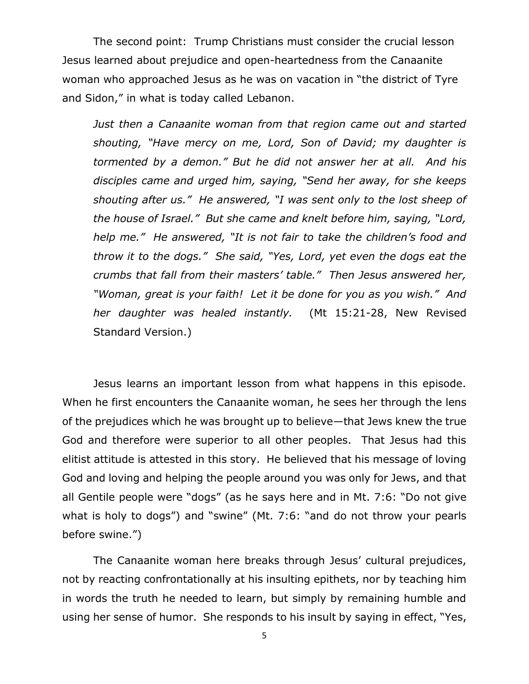The second point: Trump Christians must consider the crucial lesson Jesus learned about prejudice and open-heartedness from the Canaanite woman who approached Jesus as he was on vacation in "the district of Tyre and Sidon," in what is today called Lebanon.

*Just then a Canaanite woman from that region came out and started shouting, "Have mercy on me, Lord, Son of David; my daughter is tormented by a demon." But he did not answer her at all. And his disciples came and urged him, saying, "Send her away, for she keeps shouting after us." He answered, "I was sent only to the lost sheep of the house of Israel." But she came and knelt before him, saying, "Lord, help me." He answered, "It is not fair to take the children's food and throw it to the dogs." She said, "Yes, Lord, yet even the dogs eat the crumbs that fall from their masters' table." Then Jesus answered her, "Woman, great is your faith! Let it be done for you as you wish." And her daughter was healed instantly.* (Mt 15:21-28, New Revised Standard Version.)

Jesus learns an important lesson from what happens in this episode. When he first encounters the Canaanite woman, he sees her through the lens of the prejudices which he was brought up to believe—that Jews knew the true God and therefore were superior to all other peoples. That Jesus had this elitist attitude is attested in this story. He believed that his message of loving God and loving and helping the people around you was only for Jews, and that all Gentile people were "dogs" (as he says here and in Mt. 7:6: "Do not give what is holy to dogs") and "swine" (Mt. 7:6: "and do not throw your pearls before swine.")

The Canaanite woman here breaks through Jesus' cultural prejudices, not by reacting confrontationally at his insulting epithets, nor by teaching him in words the truth he needed to learn, but simply by remaining humble and using her sense of humor. She responds to his insult by saying in effect, "Yes,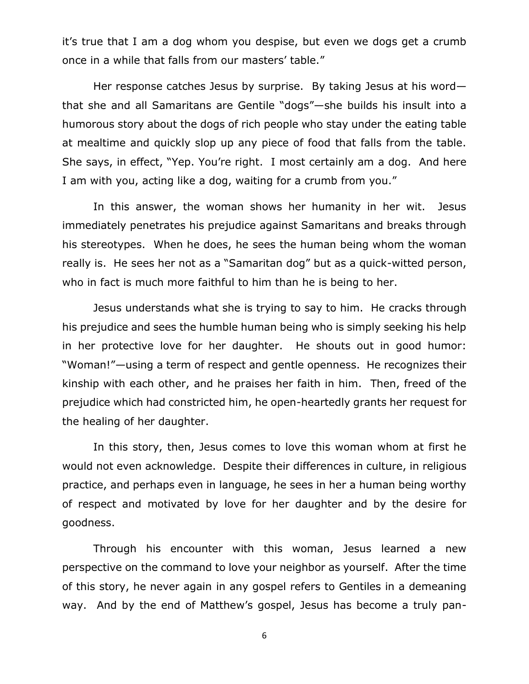it's true that I am a dog whom you despise, but even we dogs get a crumb once in a while that falls from our masters' table."

Her response catches Jesus by surprise. By taking Jesus at his wordthat she and all Samaritans are Gentile "dogs"—she builds his insult into a humorous story about the dogs of rich people who stay under the eating table at mealtime and quickly slop up any piece of food that falls from the table. She says, in effect, "Yep. You're right. I most certainly am a dog. And here I am with you, acting like a dog, waiting for a crumb from you."

In this answer, the woman shows her humanity in her wit. Jesus immediately penetrates his prejudice against Samaritans and breaks through his stereotypes. When he does, he sees the human being whom the woman really is. He sees her not as a "Samaritan dog" but as a quick-witted person, who in fact is much more faithful to him than he is being to her.

Jesus understands what she is trying to say to him. He cracks through his prejudice and sees the humble human being who is simply seeking his help in her protective love for her daughter. He shouts out in good humor: "Woman!"—using a term of respect and gentle openness. He recognizes their kinship with each other, and he praises her faith in him. Then, freed of the prejudice which had constricted him, he open-heartedly grants her request for the healing of her daughter.

In this story, then, Jesus comes to love this woman whom at first he would not even acknowledge. Despite their differences in culture, in religious practice, and perhaps even in language, he sees in her a human being worthy of respect and motivated by love for her daughter and by the desire for goodness.

Through his encounter with this woman, Jesus learned a new perspective on the command to love your neighbor as yourself. After the time of this story, he never again in any gospel refers to Gentiles in a demeaning way. And by the end of Matthew's gospel, Jesus has become a truly pan-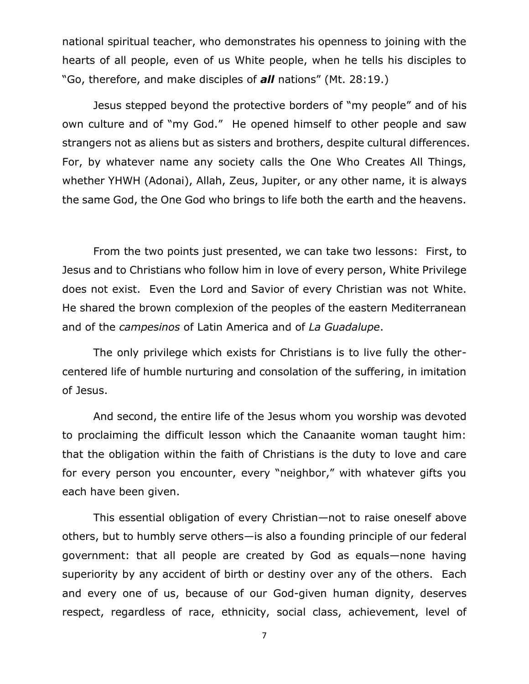national spiritual teacher, who demonstrates his openness to joining with the hearts of all people, even of us White people, when he tells his disciples to "Go, therefore, and make disciples of *all* nations" (Mt. 28:19.)

Jesus stepped beyond the protective borders of "my people" and of his own culture and of "my God." He opened himself to other people and saw strangers not as aliens but as sisters and brothers, despite cultural differences. For, by whatever name any society calls the One Who Creates All Things, whether YHWH (Adonai), Allah, Zeus, Jupiter, or any other name, it is always the same God, the One God who brings to life both the earth and the heavens.

From the two points just presented, we can take two lessons: First, to Jesus and to Christians who follow him in love of every person, White Privilege does not exist. Even the Lord and Savior of every Christian was not White. He shared the brown complexion of the peoples of the eastern Mediterranean and of the *campesinos* of Latin America and of *La Guadalupe*.

The only privilege which exists for Christians is to live fully the othercentered life of humble nurturing and consolation of the suffering, in imitation of Jesus.

And second, the entire life of the Jesus whom you worship was devoted to proclaiming the difficult lesson which the Canaanite woman taught him: that the obligation within the faith of Christians is the duty to love and care for every person you encounter, every "neighbor," with whatever gifts you each have been given.

This essential obligation of every Christian—not to raise oneself above others, but to humbly serve others—is also a founding principle of our federal government: that all people are created by God as equals—none having superiority by any accident of birth or destiny over any of the others. Each and every one of us, because of our God-given human dignity, deserves respect, regardless of race, ethnicity, social class, achievement, level of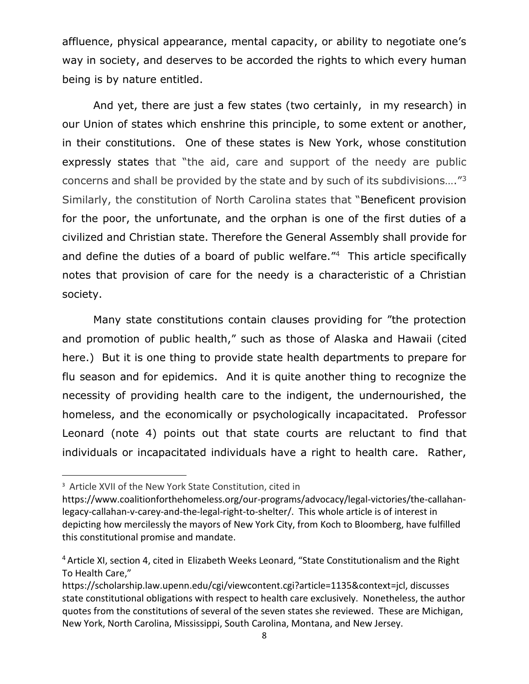affluence, physical appearance, mental capacity, or ability to negotiate one's way in society, and deserves to be accorded the rights to which every human being is by nature entitled.

And yet, there are just a few states (two certainly, in my research) in our Union of states which enshrine this principle, to some extent or another, in their constitutions. One of these states is New York, whose constitution expressly states that "the aid, care and support of the needy are public concerns and shall be provided by the state and by such of its subdivisions...." $3$ Similarly, the constitution of North Carolina states that "Beneficent provision for the poor, the unfortunate, and the orphan is one of the first duties of a civilized and Christian state. Therefore the General Assembly shall provide for and define the duties of a board of public welfare."<sup>4</sup> This article specifically notes that provision of care for the needy is a characteristic of a Christian society.

Many state constitutions contain clauses providing for "the protection and promotion of public health," such as those of Alaska and Hawaii (cited here.) But it is one thing to provide state health departments to prepare for flu season and for epidemics. And it is quite another thing to recognize the necessity of providing health care to the indigent, the undernourished, the homeless, and the economically or psychologically incapacitated. Professor Leonard (note 4) points out that state courts are reluctant to find that individuals or incapacitated individuals have a right to health care. Rather,

<sup>3</sup> Article XVII of the New York State Constitution, cited in

https://www.coalitionforthehomeless.org/our-programs/advocacy/legal-victories/the-callahanlegacy-callahan-v-carey-and-the-legal-right-to-shelter/. This whole article is of interest in depicting how mercilessly the mayors of New York City, from Koch to Bloomberg, have fulfilled this constitutional promise and mandate.

<sup>&</sup>lt;sup>4</sup> Article XI, section 4, cited in Elizabeth Weeks Leonard, "State Constitutionalism and the Right To Health Care,"

https://scholarship.law.upenn.edu/cgi/viewcontent.cgi?article=1135&context=jcl, discusses state constitutional obligations with respect to health care exclusively. Nonetheless, the author quotes from the constitutions of several of the seven states she reviewed. These are Michigan, New York, North Carolina, Mississippi, South Carolina, Montana, and New Jersey.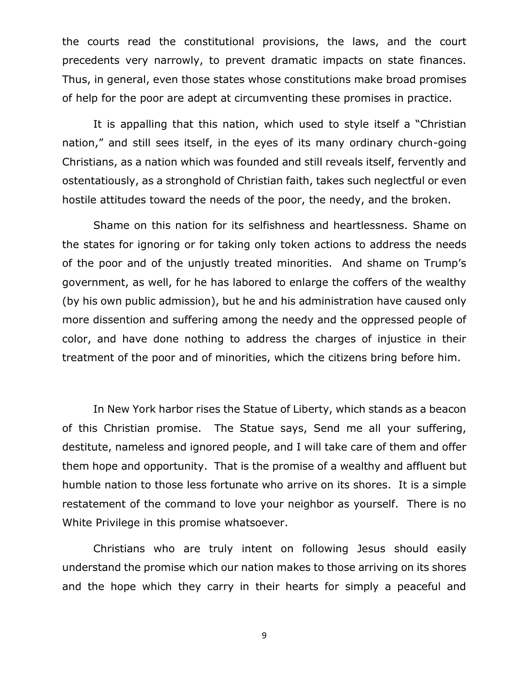the courts read the constitutional provisions, the laws, and the court precedents very narrowly, to prevent dramatic impacts on state finances. Thus, in general, even those states whose constitutions make broad promises of help for the poor are adept at circumventing these promises in practice.

It is appalling that this nation, which used to style itself a "Christian nation," and still sees itself, in the eyes of its many ordinary church-going Christians, as a nation which was founded and still reveals itself, fervently and ostentatiously, as a stronghold of Christian faith, takes such neglectful or even hostile attitudes toward the needs of the poor, the needy, and the broken.

Shame on this nation for its selfishness and heartlessness. Shame on the states for ignoring or for taking only token actions to address the needs of the poor and of the unjustly treated minorities. And shame on Trump's government, as well, for he has labored to enlarge the coffers of the wealthy (by his own public admission), but he and his administration have caused only more dissention and suffering among the needy and the oppressed people of color, and have done nothing to address the charges of injustice in their treatment of the poor and of minorities, which the citizens bring before him.

In New York harbor rises the Statue of Liberty, which stands as a beacon of this Christian promise. The Statue says, Send me all your suffering, destitute, nameless and ignored people, and I will take care of them and offer them hope and opportunity. That is the promise of a wealthy and affluent but humble nation to those less fortunate who arrive on its shores. It is a simple restatement of the command to love your neighbor as yourself. There is no White Privilege in this promise whatsoever.

Christians who are truly intent on following Jesus should easily understand the promise which our nation makes to those arriving on its shores and the hope which they carry in their hearts for simply a peaceful and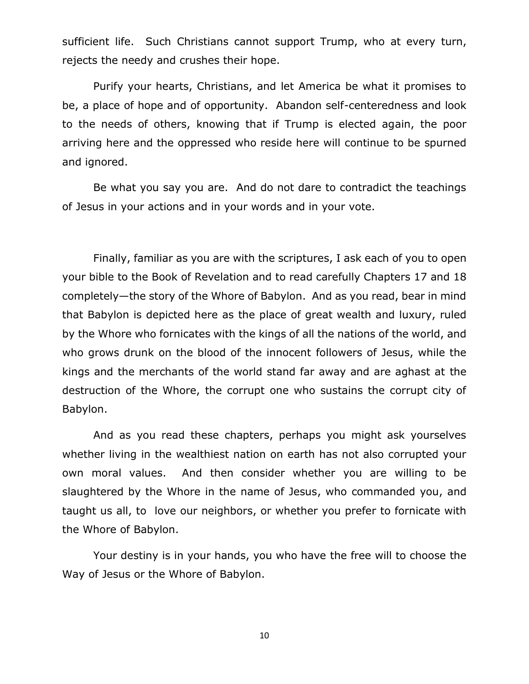sufficient life. Such Christians cannot support Trump, who at every turn, rejects the needy and crushes their hope.

Purify your hearts, Christians, and let America be what it promises to be, a place of hope and of opportunity. Abandon self-centeredness and look to the needs of others, knowing that if Trump is elected again, the poor arriving here and the oppressed who reside here will continue to be spurned and ignored.

Be what you say you are. And do not dare to contradict the teachings of Jesus in your actions and in your words and in your vote.

Finally, familiar as you are with the scriptures, I ask each of you to open your bible to the Book of Revelation and to read carefully Chapters 17 and 18 completely—the story of the Whore of Babylon. And as you read, bear in mind that Babylon is depicted here as the place of great wealth and luxury, ruled by the Whore who fornicates with the kings of all the nations of the world, and who grows drunk on the blood of the innocent followers of Jesus, while the kings and the merchants of the world stand far away and are aghast at the destruction of the Whore, the corrupt one who sustains the corrupt city of Babylon.

And as you read these chapters, perhaps you might ask yourselves whether living in the wealthiest nation on earth has not also corrupted your own moral values. And then consider whether you are willing to be slaughtered by the Whore in the name of Jesus, who commanded you, and taught us all, to love our neighbors, or whether you prefer to fornicate with the Whore of Babylon.

Your destiny is in your hands, you who have the free will to choose the Way of Jesus or the Whore of Babylon.